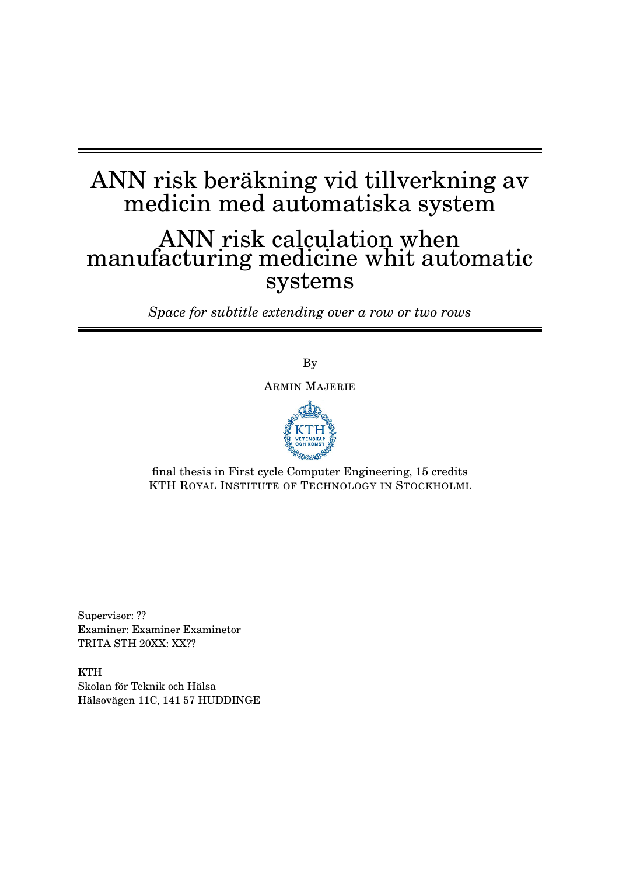# ANN risk beräkning vid tillverkning av medicin med automatiska system

# ANN risk calculation when manufacturing medicine whit automatic systems

*Space for subtitle extending over a row or two rows*

By

ARMIN MAJERIE



final thesis in First cycle Computer Engineering, 15 credits KTH ROYAL INSTITUTE OF TECHNOLOGY IN STOCKHOLML

Supervisor: ?? Examiner: Examiner Examinetor TRITA STH 20XX: XX??

**KTH** Skolan för Teknik och Hälsa Hälsovägen 11C, 141 57 HUDDINGE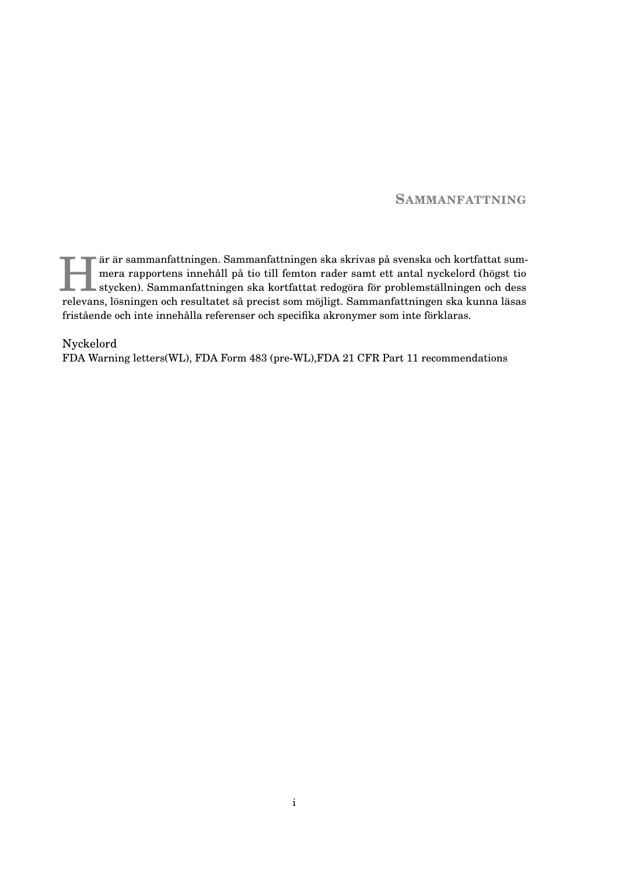#### **SAMMANFATTNING**

Fat är sammanfattningen. Sammanfattningen ska skrivas på svenska och kortfattat sum<br>mera rapportens innehåll på tio till femton rader samt ett antal nyckelord (högst tio<br>stycken). Sammanfattningen ska kortfattat redogöra f är är sammanfattningen. Sammanfattningen ska skrivas på svenska och kortfattat summera rapportens innehåll på tio till femton rader samt ett antal nyckelord (högst tio relevans, lösningen och resultatet så precist som möjligt. Sammanfattningen ska kunna läsas fristående och inte innehålla referenser och specifika akronymer som inte förklaras.

Nyckelord FDA Warning letters(WL), FDA Form 483 (pre-WL),FDA 21 CFR Part 11 recommendations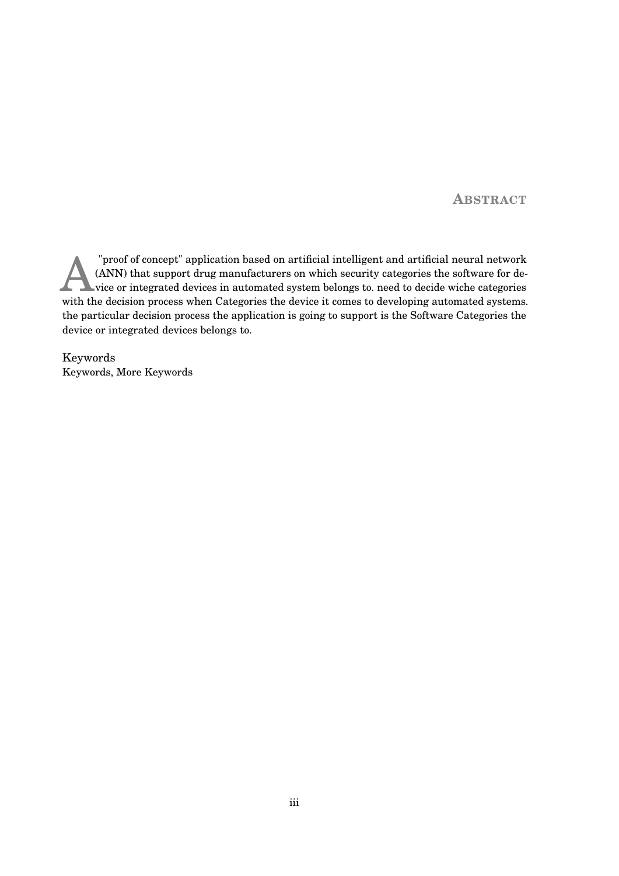**ABSTRACT**

Froof of concept" application based on artificial intelligent and artificial neural network (ANN) that support drug manufacturers on which security categories the software for device or integrated devices in automated syst "proof of concept" application based on artificial intelligent and artificial neural network (ANN) that support drug manufacturers on which security categories the software for device or integrated devices in automated system belongs to. need to decide wiche categories the particular decision process the application is going to support is the Software Categories the device or integrated devices belongs to.

Keywords Keywords, More Keywords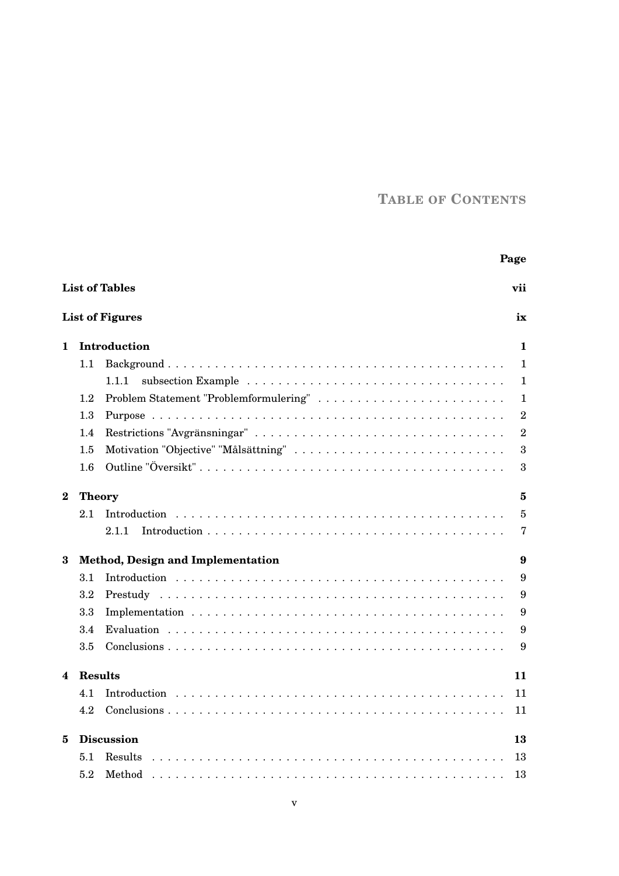# **TABLE OF CONTENTS**

|                              |                                        | Page                                   |                |  |  |  |
|------------------------------|----------------------------------------|----------------------------------------|----------------|--|--|--|
| <b>List of Tables</b><br>vii |                                        |                                        |                |  |  |  |
|                              |                                        | <b>List of Figures</b><br>ix           |                |  |  |  |
| 1                            |                                        | Introduction                           | 1              |  |  |  |
|                              | $1.1\,$                                |                                        | $\mathbf{1}$   |  |  |  |
|                              |                                        | 1.1.1                                  | 1              |  |  |  |
|                              | $1.2\,$                                | Problem Statement "Problemformulering" | 1              |  |  |  |
|                              | 1.3                                    | $\overline{2}$                         |                |  |  |  |
|                              | 1.4                                    |                                        | $\overline{2}$ |  |  |  |
|                              | 1.5                                    | 3                                      |                |  |  |  |
|                              | 1.6                                    | 3                                      |                |  |  |  |
| $\bf{2}$                     | <b>Theory</b>                          | 5                                      |                |  |  |  |
|                              | 2.1                                    | $\overline{5}$<br>Introduction         |                |  |  |  |
|                              |                                        | 2.1.1                                  | 7              |  |  |  |
| 3                            | Method, Design and Implementation<br>9 |                                        |                |  |  |  |
|                              | 3.1                                    | 9                                      |                |  |  |  |
|                              | $3.2\,$                                | 9                                      |                |  |  |  |
|                              | 3.3                                    | 9                                      |                |  |  |  |
|                              | 3.4                                    | 9                                      |                |  |  |  |
|                              | 3.5                                    | 9                                      |                |  |  |  |
| 4                            | <b>Results</b><br>11                   |                                        |                |  |  |  |
|                              | 4.1                                    | 11                                     |                |  |  |  |
|                              | 4.2                                    | 11                                     |                |  |  |  |
| 5                            | <b>Discussion</b><br>13                |                                        |                |  |  |  |
|                              | 5.1                                    | Results<br>13                          |                |  |  |  |
|                              | $5.2\,$                                | Method<br>13                           |                |  |  |  |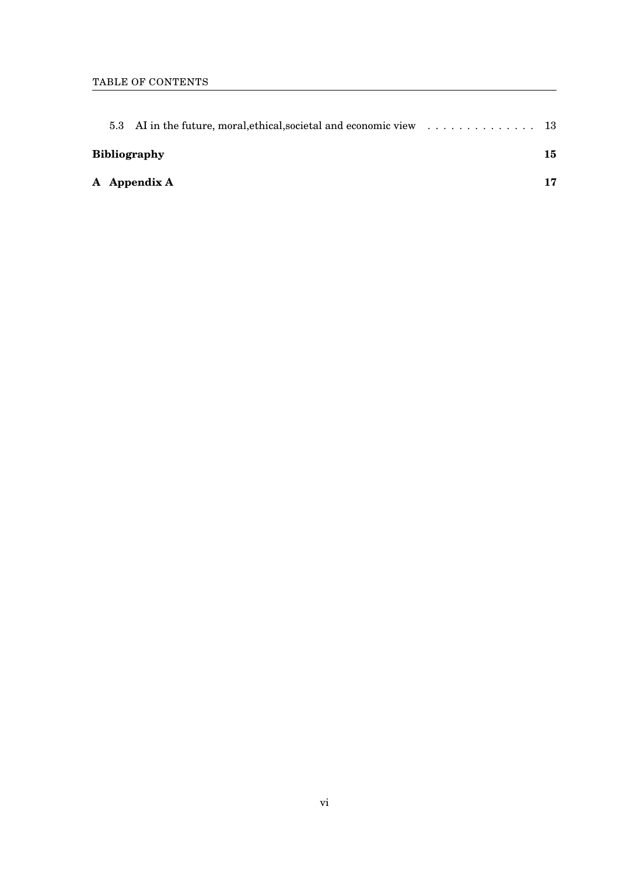| <b>Bibliography</b> |              |  |    |  |
|---------------------|--------------|--|----|--|
|                     | A Appendix A |  | 17 |  |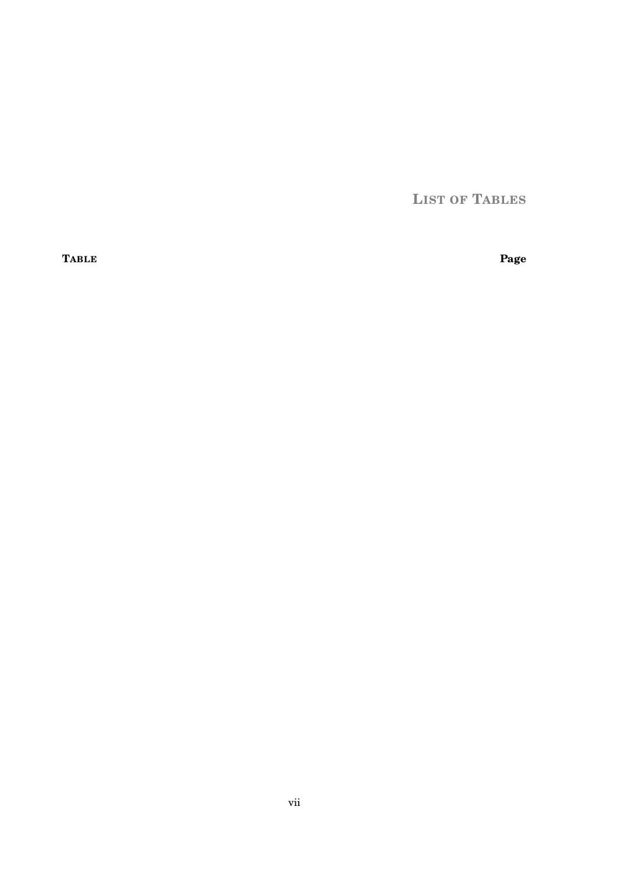**LIST OF TABLES** 

<span id="page-8-0"></span>**TABLE** 

Page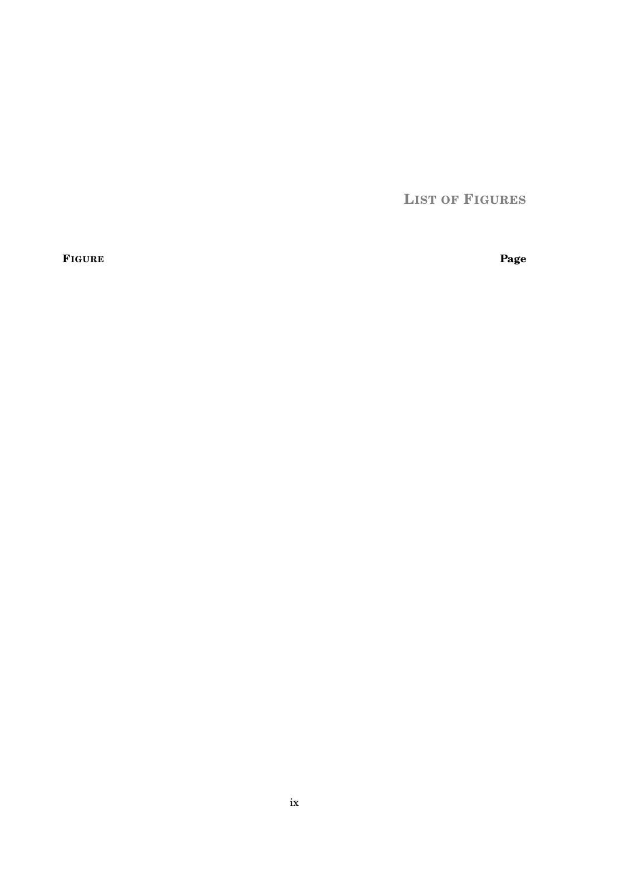**LIST OF FIGURES**

<span id="page-10-0"></span>**FIGURE Page**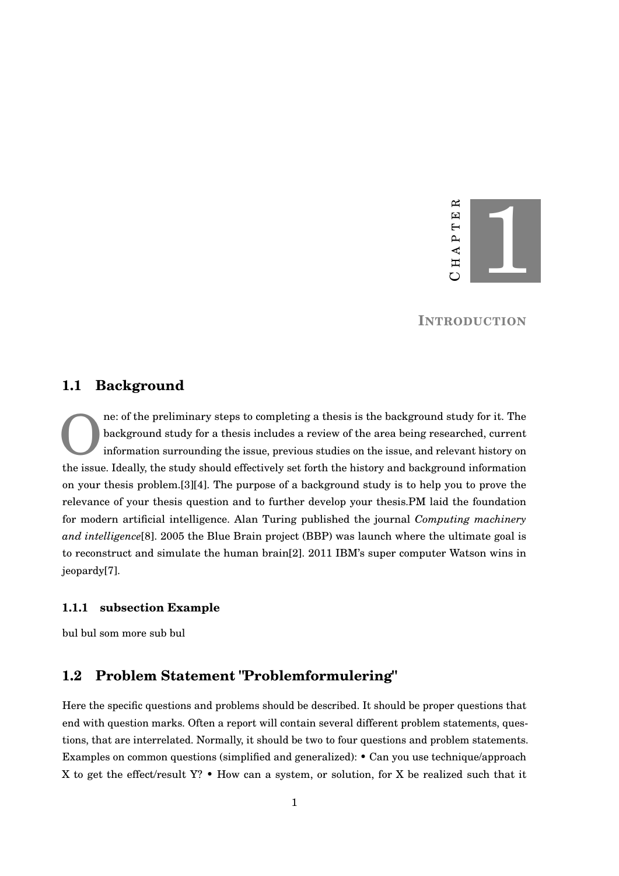

**INTRODUCTION**

#### <span id="page-12-1"></span><span id="page-12-0"></span>**1.1 Background**

O ne: of the preliminary steps to completing a thesis is the background study for it. The background study for a thesis includes a review of the area being researched, current information surrounding the issue, previous studies on the issue, and relevant history on the issue. Ideally, the study should effectively set forth the history and background information on your thesis problem.[\[3\]](#page-26-1)[\[4\]](#page-26-2). The purpose of a background study is to help you to prove the relevance of your thesis question and to further develop your thesis.PM laid the foundation for modern artificial intelligence. Alan Turing published the journal *Computing machinery and intelligence*[\[8\]](#page-26-3). 2005 the Blue Brain project (BBP) was launch where the ultimate goal is to reconstruct and simulate the human brain[\[2\]](#page-26-4). 2011 IBM's super computer Watson wins in jeopardy[\[7\]](#page-26-5).

#### <span id="page-12-2"></span>**1.1.1 subsection Example**

bul bul som more sub bul

## <span id="page-12-3"></span>**1.2 Problem Statement "Problemformulering"**

Here the specific questions and problems should be described. It should be proper questions that end with question marks. Often a report will contain several different problem statements, questions, that are interrelated. Normally, it should be two to four questions and problem statements. Examples on common questions (simplified and generalized): • Can you use technique/approach X to get the effect/result  $Y$ ? • How can a system, or solution, for X be realized such that it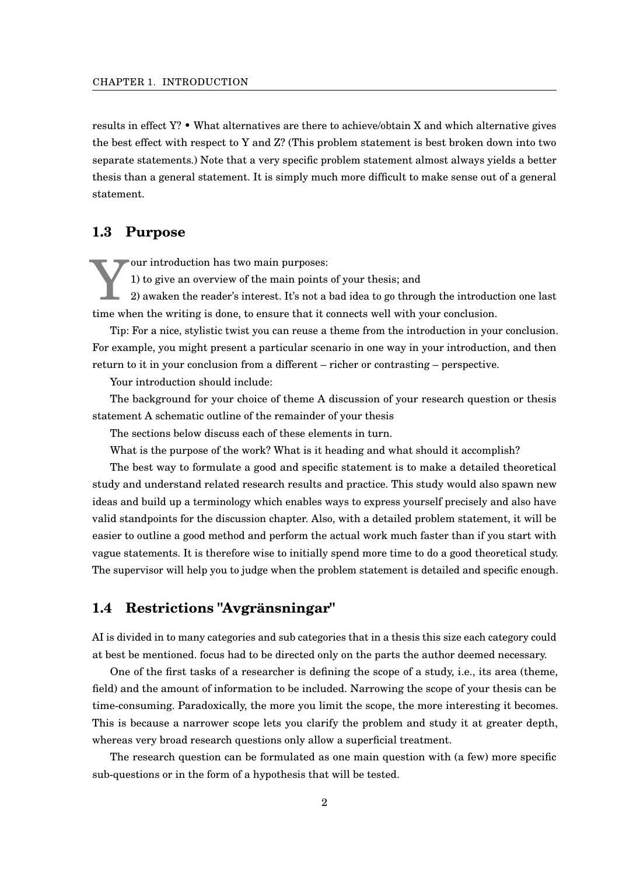results in effect Y? • What alternatives are there to achieve/obtain X and which alternative gives the best effect with respect to Y and Z? (This problem statement is best broken down into two separate statements.) Note that a very specific problem statement almost always yields a better thesis than a general statement. It is simply much more difficult to make sense out of a general statement.

#### <span id="page-13-0"></span>**1.3 Purpose**

Y our introduction has two main purposes: 1) to give an overview of the main points of your thesis; and

2) awaken the reader's interest. It's not a bad idea to go through the introduction one last time when the writing is done, to ensure that it connects well with your conclusion.

Tip: For a nice, stylistic twist you can reuse a theme from the introduction in your conclusion. For example, you might present a particular scenario in one way in your introduction, and then return to it in your conclusion from a different – richer or contrasting – perspective.

Your introduction should include:

The background for your choice of theme A discussion of your research question or thesis statement A schematic outline of the remainder of your thesis

The sections below discuss each of these elements in turn.

What is the purpose of the work? What is it heading and what should it accomplish?

The best way to formulate a good and specific statement is to make a detailed theoretical study and understand related research results and practice. This study would also spawn new ideas and build up a terminology which enables ways to express yourself precisely and also have valid standpoints for the discussion chapter. Also, with a detailed problem statement, it will be easier to outline a good method and perform the actual work much faster than if you start with vague statements. It is therefore wise to initially spend more time to do a good theoretical study. The supervisor will help you to judge when the problem statement is detailed and specific enough.

#### <span id="page-13-1"></span>**1.4 Restrictions "Avgränsningar"**

AI is divided in to many categories and sub categories that in a thesis this size each category could at best be mentioned. focus had to be directed only on the parts the author deemed necessary.

One of the first tasks of a researcher is defining the scope of a study, i.e., its area (theme, field) and the amount of information to be included. Narrowing the scope of your thesis can be time-consuming. Paradoxically, the more you limit the scope, the more interesting it becomes. This is because a narrower scope lets you clarify the problem and study it at greater depth, whereas very broad research questions only allow a superficial treatment.

The research question can be formulated as one main question with (a few) more specific sub-questions or in the form of a hypothesis that will be tested.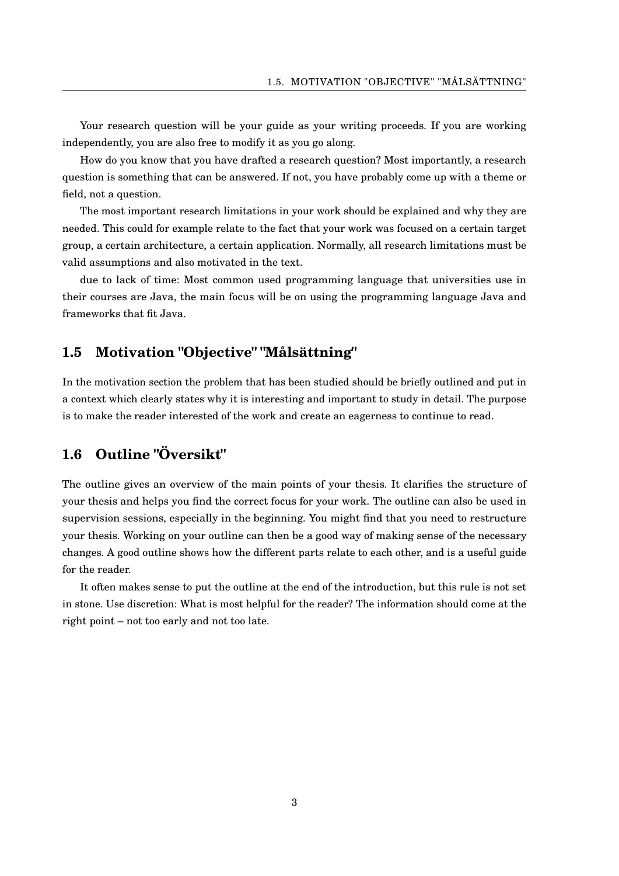Your research question will be your guide as your writing proceeds. If you are working independently, you are also free to modify it as you go along.

How do you know that you have drafted a research question? Most importantly, a research question is something that can be answered. If not, you have probably come up with a theme or field, not a question.

The most important research limitations in your work should be explained and why they are needed. This could for example relate to the fact that your work was focused on a certain target group, a certain architecture, a certain application. Normally, all research limitations must be valid assumptions and also motivated in the text.

due to lack of time: Most common used programming language that universities use in their courses are Java, the main focus will be on using the programming language Java and frameworks that fit Java.

#### <span id="page-14-0"></span>**1.5 Motivation "Objective" "Målsättning"**

In the motivation section the problem that has been studied should be briefly outlined and put in a context which clearly states why it is interesting and important to study in detail. The purpose is to make the reader interested of the work and create an eagerness to continue to read.

# <span id="page-14-1"></span>**1.6 Outline "Översikt"**

The outline gives an overview of the main points of your thesis. It clarifies the structure of your thesis and helps you find the correct focus for your work. The outline can also be used in supervision sessions, especially in the beginning. You might find that you need to restructure your thesis. Working on your outline can then be a good way of making sense of the necessary changes. A good outline shows how the different parts relate to each other, and is a useful guide for the reader.

It often makes sense to put the outline at the end of the introduction, but this rule is not set in stone. Use discretion: What is most helpful for the reader? The information should come at the right point – not too early and not too late.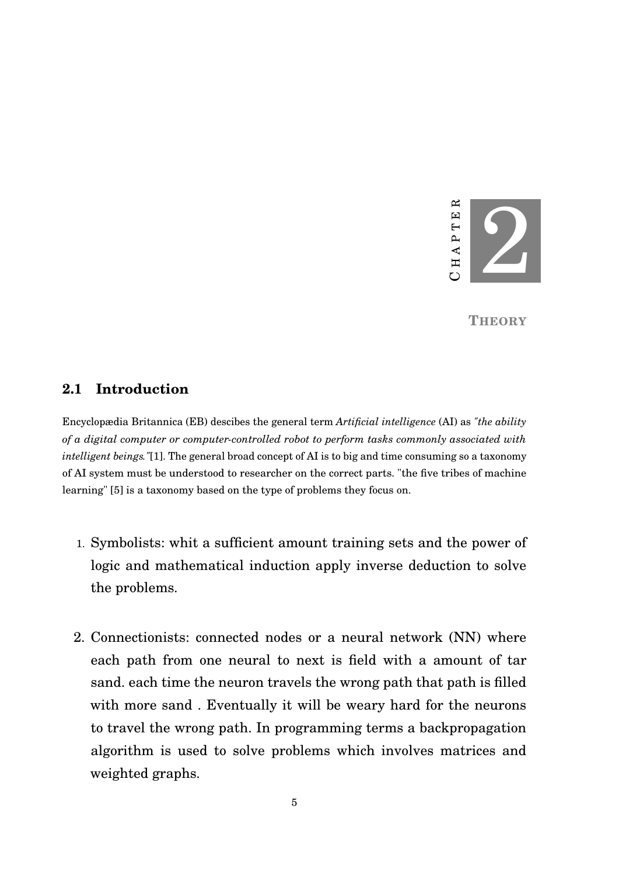

**THEORY**

### <span id="page-16-1"></span><span id="page-16-0"></span>**2.1 Introduction**

Encyclopædia Britannica (EB) descibes the general term *Artificial intelligence* (AI) as *"the ability of a digital computer or computer-controlled robot to perform tasks commonly associated with intelligent beings."*[\[1\]](#page-26-0). The general broad concept of AI is to big and time consuming so a taxonomy of AI system must be understood to researcher on the correct parts. "the five tribes of machine learning" [\[5\]](#page-26-6) is a taxonomy based on the type of problems they focus on.

- 1. Symbolists: whit a sufficient amount training sets and the power of logic and mathematical induction apply inverse deduction to solve the problems.
- 2. Connectionists: connected nodes or a neural network (NN) where each path from one neural to next is field with a amount of tar sand. each time the neuron travels the wrong path that path is filled with more sand . Eventually it will be weary hard for the neurons to travel the wrong path. In programming terms a backpropagation algorithm is used to solve problems which involves matrices and weighted graphs.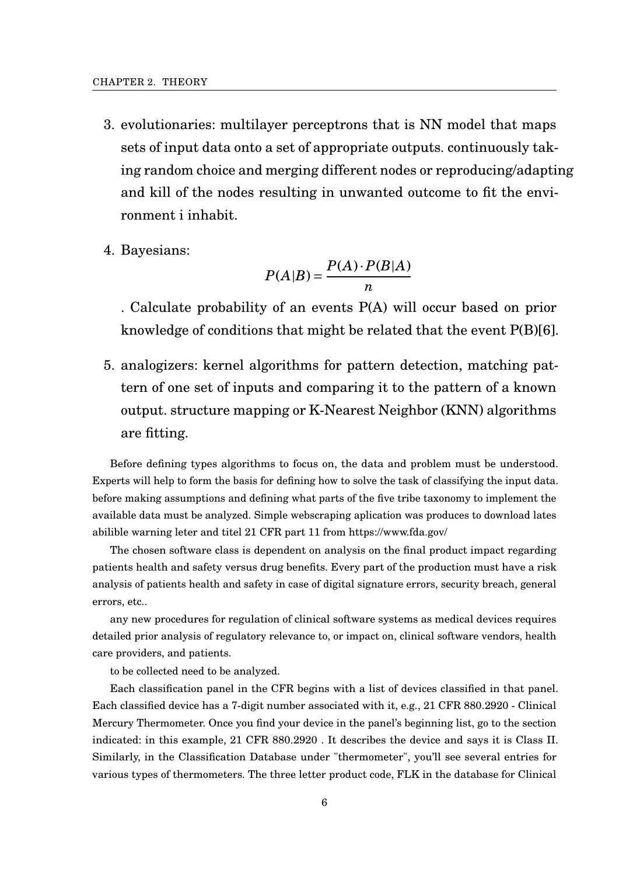- 3. evolutionaries: multilayer perceptrons that is NN model that maps sets of input data onto a set of appropriate outputs. continuously taking random choice and merging different nodes or reproducing/adapting and kill of the nodes resulting in unwanted outcome to fit the environment i inhabit.
- 4. Bayesians:

$$
P(A|B) = \frac{P(A) \cdot P(B|A)}{n}
$$

. Calculate probability of an events P(A) will occur based on prior knowledge of conditions that might be related that the event P(B)[\[6\]](#page-26-7).

5. analogizers: kernel algorithms for pattern detection, matching pattern of one set of inputs and comparing it to the pattern of a known output. structure mapping or K-Nearest Neighbor (KNN) algorithms are fitting.

Before defining types algorithms to focus on, the data and problem must be understood. Experts will help to form the basis for defining how to solve the task of classifying the input data. before making assumptions and defining what parts of the five tribe taxonomy to implement the available data must be analyzed. Simple webscraping aplication was produces to download lates abilible warning leter and titel 21 CFR part 11 from https://www.fda.gov/

The chosen software class is dependent on analysis on the final product impact regarding patients health and safety versus drug benefits. Every part of the production must have a risk analysis of patients health and safety in case of digital signature errors, security breach, general errors, etc..

any new procedures for regulation of clinical software systems as medical devices requires detailed prior analysis of regulatory relevance to, or impact on, clinical software vendors, health care providers, and patients.

to be collected need to be analyzed.

Each classification panel in the CFR begins with a list of devices classified in that panel. Each classified device has a 7-digit number associated with it, e.g., 21 CFR 880.2920 - Clinical Mercury Thermometer. Once you find your device in the panel's beginning list, go to the section indicated: in this example, 21 CFR 880.2920 . It describes the device and says it is Class II. Similarly, in the Classification Database under "thermometer", you'll see several entries for various types of thermometers. The three letter product code, FLK in the database for Clinical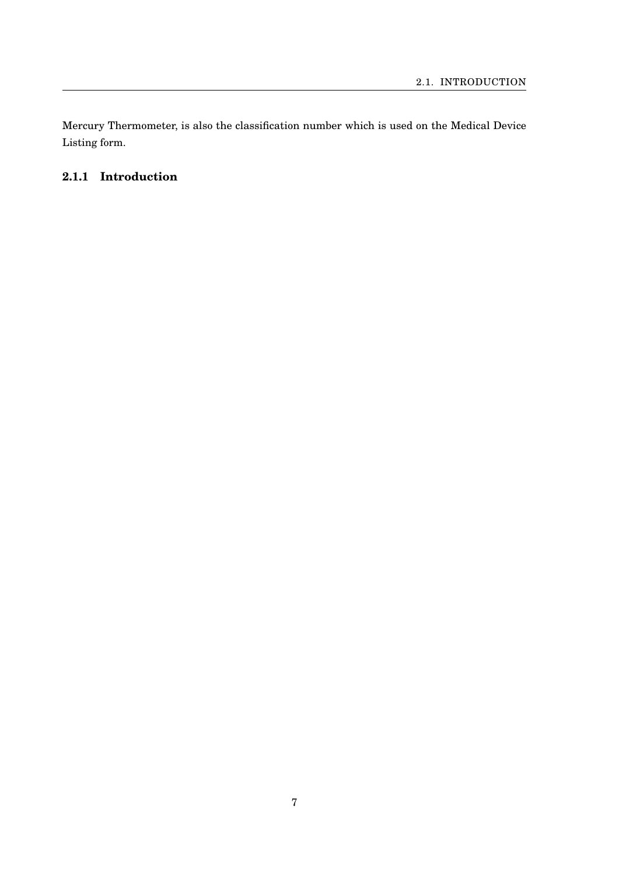Mercury Thermometer, is also the classification number which is used on the Medical Device Listing form.

# <span id="page-18-0"></span>**2.1.1 Introduction**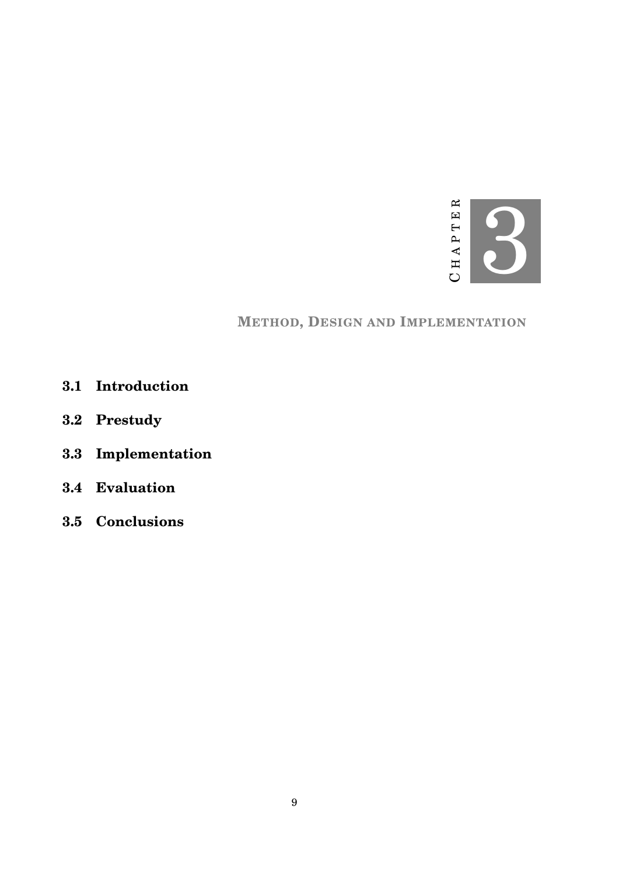

# **METHOD, DESIGN AND IMPLEMENTATION**

- <span id="page-20-1"></span><span id="page-20-0"></span>**3.1 Introduction**
- <span id="page-20-2"></span>**3.2 Prestudy**
- <span id="page-20-3"></span>**3.3 Implementation**
- <span id="page-20-4"></span>**3.4 Evaluation**
- <span id="page-20-5"></span>**3.5 Conclusions**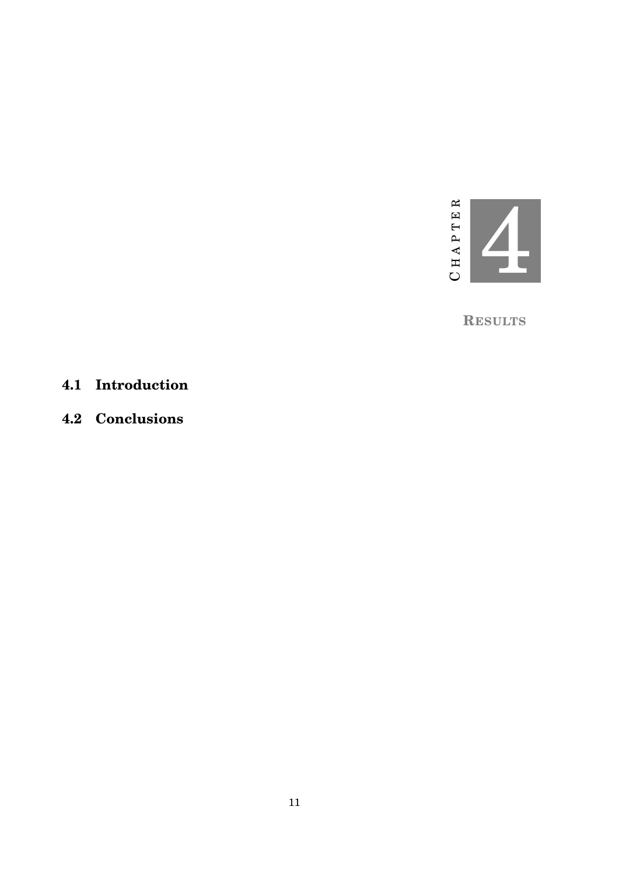

**RESULTS**

# <span id="page-22-1"></span><span id="page-22-0"></span>**4.1 Introduction**

<span id="page-22-2"></span>**4.2 Conclusions**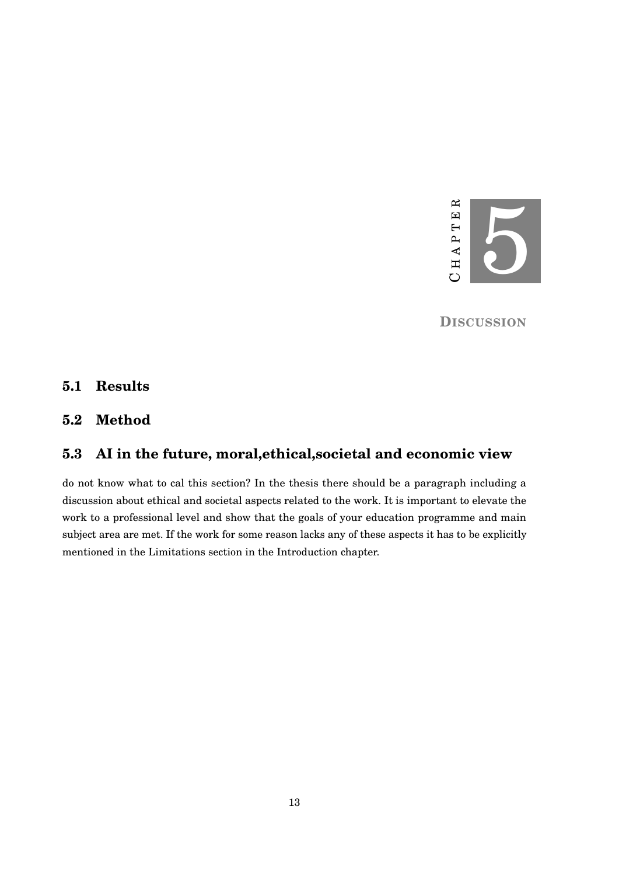

**DISCUSSION**

### <span id="page-24-1"></span><span id="page-24-0"></span>**5.1 Results**

# <span id="page-24-2"></span>**5.2 Method**

# <span id="page-24-3"></span>**5.3 AI in the future, moral,ethical,societal and economic view**

do not know what to cal this section? In the thesis there should be a paragraph including a discussion about ethical and societal aspects related to the work. It is important to elevate the work to a professional level and show that the goals of your education programme and main subject area are met. If the work for some reason lacks any of these aspects it has to be explicitly mentioned in the Limitations section in the Introduction chapter.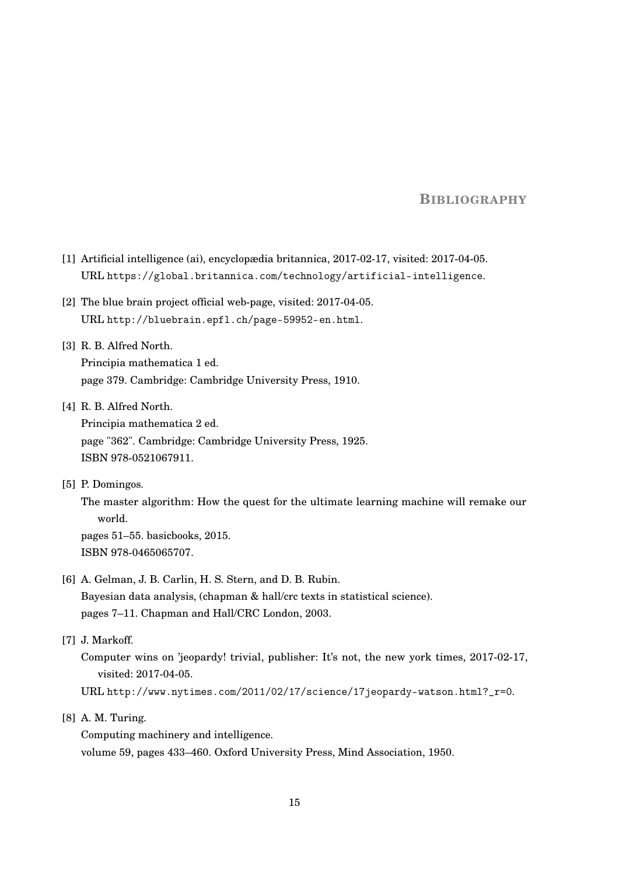#### **BIBLIOGRAPHY**

- <span id="page-26-0"></span>[1] Artificial intelligence (ai), encyclopædia britannica, 2017-02-17, visited: 2017-04-05. URL <https://global.britannica.com/technology/artificial-intelligence>.
- <span id="page-26-4"></span>[2] The blue brain project official web-page, visited: 2017-04-05. URL <http://bluebrain.epfl.ch/page-59952-en.html>.
- <span id="page-26-1"></span>[3] R. B. Alfred North. Principia mathematica 1 ed. page 379. Cambridge: Cambridge University Press, 1910.
- <span id="page-26-2"></span>[4] R. B. Alfred North.

Principia mathematica 2 ed. page "362". Cambridge: Cambridge University Press, 1925. ISBN 978-0521067911.

<span id="page-26-6"></span>[5] P. Domingos.

The master algorithm: How the quest for the ultimate learning machine will remake our world.

pages 51–55. basicbooks, 2015. ISBN 978-0465065707.

<span id="page-26-7"></span>[6] A. Gelman, J. B. Carlin, H. S. Stern, and D. B. Rubin. Bayesian data analysis, (chapman & hall/crc texts in statistical science).

pages 7–11. Chapman and Hall/CRC London, 2003.

<span id="page-26-5"></span>[7] J. Markoff.

Computer wins on 'jeopardy! trivial, publisher: It's not, the new york times, 2017-02-17, visited: 2017-04-05.

URL [http://www.nytimes.com/2011/02/17/science/17jeopardy-watson.html?\\_r=0](http://www.nytimes.com/2011/02/17/science/17jeopardy-watson.html?_r=0).

<span id="page-26-3"></span>[8] A. M. Turing.

Computing machinery and intelligence. volume 59, pages 433–460. Oxford University Press, Mind Association, 1950.